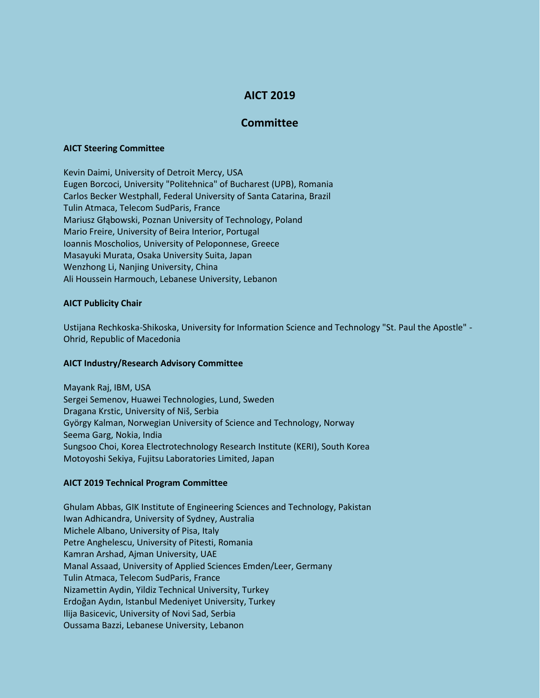# **AICT 2019**

# **Committee**

#### **AICT Steering Committee**

Kevin Daimi, University of Detroit Mercy, USA Eugen Borcoci, University "Politehnica" of Bucharest (UPB), Romania Carlos Becker Westphall, Federal University of Santa Catarina, Brazil Tulin Atmaca, Telecom SudParis, France Mariusz Głąbowski, Poznan University of Technology, Poland Mario Freire, University of Beira Interior, Portugal Ioannis Moscholios, University of Peloponnese, Greece Masayuki Murata, Osaka University Suita, Japan Wenzhong Li, Nanjing University, China Ali Houssein Harmouch, Lebanese University, Lebanon

### **AICT Publicity Chair**

Ustijana Rechkoska-Shikoska, University for Information Science and Technology "St. Paul the Apostle" - Ohrid, Republic of Macedonia

#### **AICT Industry/Research Advisory Committee**

Mayank Raj, IBM, USA Sergei Semenov, Huawei Technologies, Lund, Sweden Dragana Krstic, University of Niš, Serbia György Kalman, Norwegian University of Science and Technology, Norway Seema Garg, Nokia, India Sungsoo Choi, Korea Electrotechnology Research Institute (KERI), South Korea Motoyoshi Sekiya, Fujitsu Laboratories Limited, Japan

## **AICT 2019 Technical Program Committee**

Ghulam Abbas, GIK Institute of Engineering Sciences and Technology, Pakistan Iwan Adhicandra, University of Sydney, Australia Michele Albano, University of Pisa, Italy Petre Anghelescu, University of Pitesti, Romania Kamran Arshad, Ajman University, UAE Manal Assaad, University of Applied Sciences Emden/Leer, Germany Tulin Atmaca, Telecom SudParis, France Nizamettin Aydin, Yildiz Technical University, Turkey Erdoğan Aydın, Istanbul Medeniyet University, Turkey Ilija Basicevic, University of Novi Sad, Serbia Oussama Bazzi, Lebanese University, Lebanon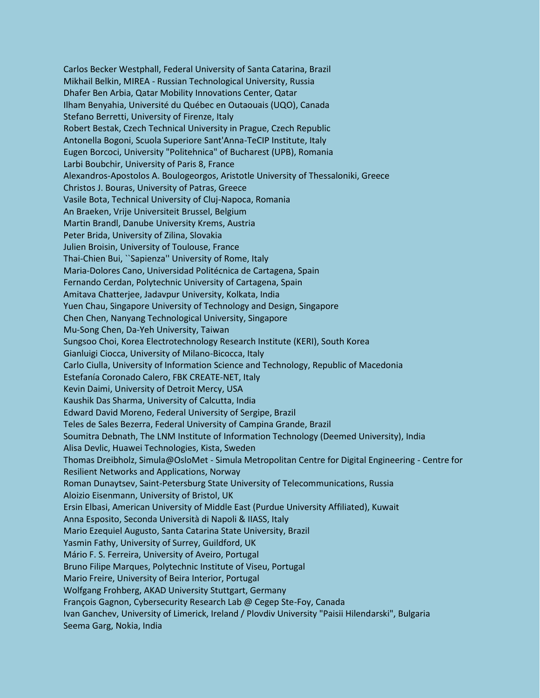Carlos Becker Westphall, Federal University of Santa Catarina, Brazil Mikhail Belkin, MIREA - Russian Technological University, Russia Dhafer Ben Arbia, Qatar Mobility Innovations Center, Qatar Ilham Benyahia, Université du Québec en Outaouais (UQO), Canada Stefano Berretti, University of Firenze, Italy Robert Bestak, Czech Technical University in Prague, Czech Republic Antonella Bogoni, Scuola Superiore Sant'Anna-TeCIP Institute, Italy Eugen Borcoci, University "Politehnica" of Bucharest (UPB), Romania Larbi Boubchir, University of Paris 8, France Alexandros-Apostolos A. Boulogeorgos, Aristotle University of Thessaloniki, Greece Christos J. Bouras, University of Patras, Greece Vasile Bota, Technical University of Cluj-Napoca, Romania An Braeken, Vrije Universiteit Brussel, Belgium Martin Brandl, Danube University Krems, Austria Peter Brida, University of Zilina, Slovakia Julien Broisin, University of Toulouse, France Thai-Chien Bui, ``Sapienza'' University of Rome, Italy Maria-Dolores Cano, Universidad Politécnica de Cartagena, Spain Fernando Cerdan, Polytechnic University of Cartagena, Spain Amitava Chatterjee, Jadavpur University, Kolkata, India Yuen Chau, Singapore University of Technology and Design, Singapore Chen Chen, Nanyang Technological University, Singapore Mu-Song Chen, Da-Yeh University, Taiwan Sungsoo Choi, Korea Electrotechnology Research Institute (KERI), South Korea Gianluigi Ciocca, University of Milano-Bicocca, Italy Carlo Ciulla, University of Information Science and Technology, Republic of Macedonia Estefanía Coronado Calero, FBK CREATE-NET, Italy Kevin Daimi, University of Detroit Mercy, USA Kaushik Das Sharma, University of Calcutta, India Edward David Moreno, Federal University of Sergipe, Brazil Teles de Sales Bezerra, Federal University of Campina Grande, Brazil Soumitra Debnath, The LNM Institute of Information Technology (Deemed University), India Alisa Devlic, Huawei Technologies, Kista, Sweden Thomas Dreibholz, Simula@OsloMet - Simula Metropolitan Centre for Digital Engineering - Centre for Resilient Networks and Applications, Norway Roman Dunaytsev, Saint-Petersburg State University of Telecommunications, Russia Aloizio Eisenmann, University of Bristol, UK Ersin Elbasi, American University of Middle East (Purdue University Affiliated), Kuwait Anna Esposito, Seconda Università di Napoli & IIASS, Italy Mario Ezequiel Augusto, Santa Catarina State University, Brazil Yasmin Fathy, University of Surrey, Guildford, UK Mário F. S. Ferreira, University of Aveiro, Portugal Bruno Filipe Marques, Polytechnic Institute of Viseu, Portugal Mario Freire, University of Beira Interior, Portugal Wolfgang Frohberg, AKAD University Stuttgart, Germany François Gagnon, Cybersecurity Research Lab @ Cegep Ste-Foy, Canada Ivan Ganchev, University of Limerick, Ireland / Plovdiv University "Paisii Hilendarski", Bulgaria Seema Garg, Nokia, India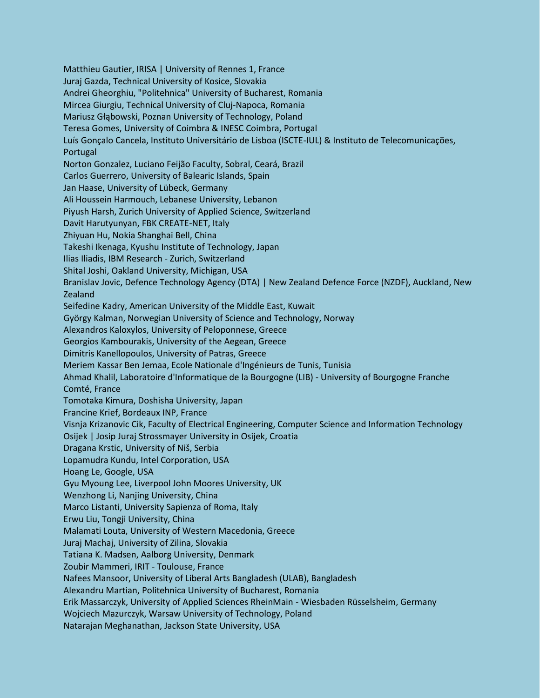Matthieu Gautier, IRISA | University of Rennes 1, France Juraj Gazda, Technical University of Kosice, Slovakia Andrei Gheorghiu, "Politehnica" University of Bucharest, Romania Mircea Giurgiu, Technical University of Cluj-Napoca, Romania Mariusz Głąbowski, Poznan University of Technology, Poland Teresa Gomes, University of Coimbra & INESC Coimbra, Portugal Luís Gonçalo Cancela, Instituto Universitário de Lisboa (ISCTE-IUL) & Instituto de Telecomunicações, Portugal Norton Gonzalez, Luciano Feijão Faculty, Sobral, Ceará, Brazil Carlos Guerrero, University of Balearic Islands, Spain Jan Haase, University of Lübeck, Germany Ali Houssein Harmouch, Lebanese University, Lebanon Piyush Harsh, Zurich University of Applied Science, Switzerland Davit Harutyunyan, FBK CREATE-NET, Italy Zhiyuan Hu, Nokia Shanghai Bell, China Takeshi Ikenaga, Kyushu Institute of Technology, Japan Ilias Iliadis, IBM Research - Zurich, Switzerland Shital Joshi, Oakland University, Michigan, USA Branislav Jovic, Defence Technology Agency (DTA) | New Zealand Defence Force (NZDF), Auckland, New Zealand Seifedine Kadry, American University of the Middle East, Kuwait György Kalman, Norwegian University of Science and Technology, Norway Alexandros Kaloxylos, University of Peloponnese, Greece Georgios Kambourakis, University of the Aegean, Greece Dimitris Kanellopoulos, University of Patras, Greece Meriem Kassar Ben Jemaa, Ecole Nationale d'Ingénieurs de Tunis, Tunisia Ahmad Khalil, Laboratoire d'Informatique de la Bourgogne (LIB) - University of Bourgogne Franche Comté, France Tomotaka Kimura, Doshisha University, Japan Francine Krief, Bordeaux INP, France Visnja Krizanovic Cik, Faculty of Electrical Engineering, Computer Science and Information Technology Osijek | Josip Juraj Strossmayer University in Osijek, Croatia Dragana Krstic, University of Niš, Serbia Lopamudra Kundu, Intel Corporation, USA Hoang Le, Google, USA Gyu Myoung Lee, Liverpool John Moores University, UK Wenzhong Li, Nanjing University, China Marco Listanti, University Sapienza of Roma, Italy Erwu Liu, Tongji University, China Malamati Louta, University of Western Macedonia, Greece Juraj Machaj, University of Zilina, Slovakia Tatiana K. Madsen, Aalborg University, Denmark Zoubir Mammeri, IRIT - Toulouse, France Nafees Mansoor, University of Liberal Arts Bangladesh (ULAB), Bangladesh Alexandru Martian, Politehnica University of Bucharest, Romania Erik Massarczyk, University of Applied Sciences RheinMain - Wiesbaden Rüsselsheim, Germany Wojciech Mazurczyk, Warsaw University of Technology, Poland Natarajan Meghanathan, Jackson State University, USA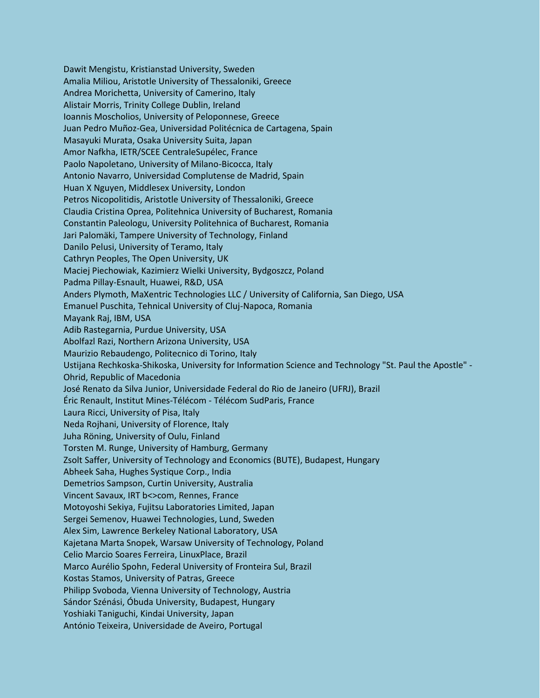Dawit Mengistu, Kristianstad University, Sweden Amalia Miliou, Aristotle University of Thessaloniki, Greece Andrea Morichetta, University of Camerino, Italy Alistair Morris, Trinity College Dublin, Ireland Ioannis Moscholios, University of Peloponnese, Greece Juan Pedro Muñoz-Gea, Universidad Politécnica de Cartagena, Spain Masayuki Murata, Osaka University Suita, Japan Amor Nafkha, IETR/SCEE CentraleSupélec, France Paolo Napoletano, University of Milano-Bicocca, Italy Antonio Navarro, Universidad Complutense de Madrid, Spain Huan X Nguyen, Middlesex University, London Petros Nicopolitidis, Aristotle University of Thessaloniki, Greece Claudia Cristina Oprea, Politehnica University of Bucharest, Romania Constantin Paleologu, University Politehnica of Bucharest, Romania Jari Palomäki, Tampere University of Technology, Finland Danilo Pelusi, University of Teramo, Italy Cathryn Peoples, The Open University, UK Maciej Piechowiak, Kazimierz Wielki University, Bydgoszcz, Poland Padma Pillay-Esnault, Huawei, R&D, USA Anders Plymoth, MaXentric Technologies LLC / University of California, San Diego, USA Emanuel Puschita, Tehnical University of Cluj-Napoca, Romania Mayank Raj, IBM, USA Adib Rastegarnia, Purdue University, USA Abolfazl Razi, Northern Arizona University, USA Maurizio Rebaudengo, Politecnico di Torino, Italy Ustijana Rechkoska-Shikoska, University for Information Science and Technology "St. Paul the Apostle" - Ohrid, Republic of Macedonia José Renato da Silva Junior, Universidade Federal do Rio de Janeiro (UFRJ), Brazil Éric Renault, Institut Mines-Télécom - Télécom SudParis, France Laura Ricci, University of Pisa, Italy Neda Rojhani, University of Florence, Italy Juha Röning, University of Oulu, Finland Torsten M. Runge, University of Hamburg, Germany Zsolt Saffer, University of Technology and Economics (BUTE), Budapest, Hungary Abheek Saha, Hughes Systique Corp., India Demetrios Sampson, Curtin University, Australia Vincent Savaux, IRT b<>com, Rennes, France Motoyoshi Sekiya, Fujitsu Laboratories Limited, Japan Sergei Semenov, Huawei Technologies, Lund, Sweden Alex Sim, Lawrence Berkeley National Laboratory, USA Kajetana Marta Snopek, Warsaw University of Technology, Poland Celio Marcio Soares Ferreira, LinuxPlace, Brazil Marco Aurélio Spohn, Federal University of Fronteira Sul, Brazil Kostas Stamos, University of Patras, Greece Philipp Svoboda, Vienna University of Technology, Austria Sándor Szénási, Óbuda University, Budapest, Hungary Yoshiaki Taniguchi, Kindai University, Japan António Teixeira, Universidade de Aveiro, Portugal